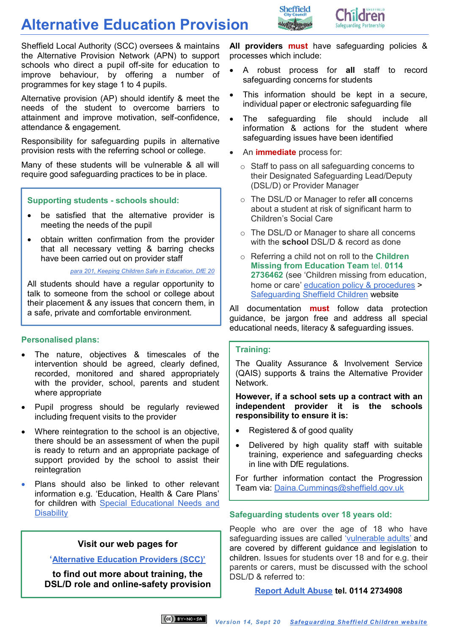## **Alternative Education Provision**



Sheffield Local Authority (SCC) oversees & maintains the Alternative Provision Network (APN) to support schools who direct a pupil off-site for education to improve behaviour, by offering a number of programmes for key stage 1 to 4 pupils.

Alternative provision (AP) should identify & meet the needs of the student to overcome barriers to attainment and improve motivation, self-confidence, attendance & engagement.

Responsibility for safeguarding pupils in alternative provision rests with the referring school or college.

Many of these students will be vulnerable & all will require good safeguarding practices to be in place.

## **Supporting students - schools should:**

- be satisfied that the alternative provider is meeting the needs of the pupil
- obtain written confirmation from the provider that all necessary vetting & barring checks have been carried out on provider staff

*para 201, Keeping Children Safe in Education, DfE 20*

All students should have a regular opportunity to talk to someone from the school or college about their placement & any issues that concern them, in a safe, private and comfortable environment.

## **Personalised plans:**

- The nature, objectives & timescales of the intervention should be agreed, clearly defined, recorded, monitored and shared appropriately with the provider, school, parents and student where appropriate
- Pupil progress should be regularly reviewed including frequent visits to the provider
- Where reintegration to the school is an objective, there should be an assessment of when the pupil is ready to return and an appropriate package of support provided by the school to assist their reintegration
- Plans should also be linked to other relevant information e.g. 'Education, Health & Care Plans' for children with [Special Educational Needs and](https://www.gov.uk/topic/schools-colleges-childrens-services/special-educational-needs-disabilities)  **Disability**

## **Visit our web pages for**

**'[Alternative Education Providers \(SCC\)'](https://www.safeguardingsheffieldchildren.org/sscb/education/alternative-education-providers-scc)**

**to find out more about training, the DSL/D role and online-safety provision** **All providers must** have safeguarding policies & processes which include:

- A robust process for **all** staff to record safeguarding concerns for students
- This information should be kept in a secure, individual paper or electronic safeguarding file
- The safeguarding file should include all information & actions for the student where safeguarding issues have been identified
- An **immediate** process for:
	- o Staff to pass on all safeguarding concerns to their Designated Safeguarding Lead/Deputy (DSL/D) or Provider Manager
	- o The DSL/D or Manager to refer **all** concerns about a student at risk of significant harm to Children's Social Care
	- o The DSL/D or Manager to share all concerns with the **school** DSL/D & record as done
	- o Referring a child not on roll to the **Children Missing from Education Team** tel. **0114 2736462** (see 'Children missing from education, home or care' [education policy & procedures](https://www.safeguardingsheffieldchildren.org/sscb/education/policies-1) > [Safeguarding Sheffield](https://www.safeguardingsheffieldchildren.org/sscb) Children website

All documentation **must** follow data protection guidance, be jargon free and address all special educational needs, literacy & safeguarding issues.

#### **Training:**

The Quality Assurance & Involvement Service (QAIS) supports & trains the Alternative Provider Network.

#### **However, if a school sets up a contract with an independent provider it is the schools responsibility to ensure it is:**

- Registered & of good quality
- Delivered by high quality staff with suitable training, experience and safeguarding checks in line with DfE regulations.

For further information contact the Progression Team via: [Daina.Cummings@sheffield.gov.uk](mailto:Daina.Cummings@sheffield.gov.uk)

## **Safeguarding students over 18 years old:**

People who are over the age of 18 who have safeguarding issues are called ['vulnerable adults'](https://www.safeguardingsheffieldchildren.org.uk/dms/safe/management/corporate-communications/documents/schools/Policies-and-Procedures-2015-16/Vulnerable-Adults-Sept-15/Vulnerable%20Adults%2C%20Sept%2015.doc) and are covered by different guidance and legislation to children. Issues for students over 18 and for e.g. their parents or carers, must be discussed with the school DSL/D & referred to:

## **[Report Adult Abuse](http://www.sheffield.gov.uk/content/sheffield/home/social-care/adult-abuse.html) tel. 0114 2734908**